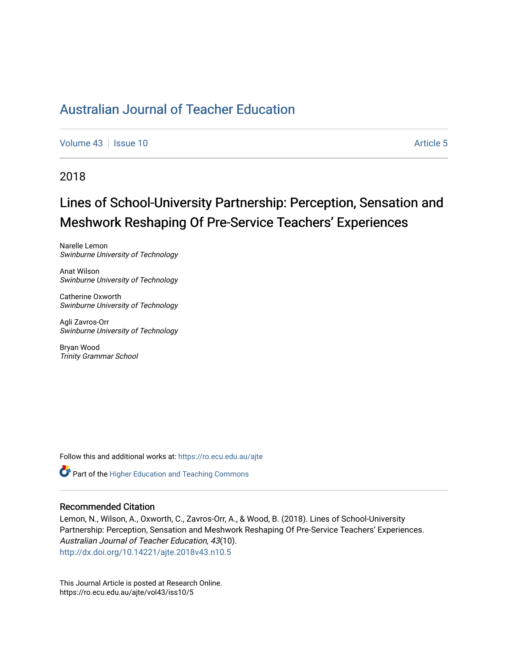[Volume 43](https://ro.ecu.edu.au/ajte/vol43) | [Issue 10](https://ro.ecu.edu.au/ajte/vol43/iss10) Article 5

## 2018

# Lines of School-University Partnership: Perception, Sensation and Meshwork Reshaping Of Pre-Service Teachers' Experiences

Narelle Lemon Swinburne University of Technology

Anat Wilson Swinburne University of Technology

Catherine Oxworth Swinburne University of Technology

Agli Zavros-Orr Swinburne University of Technology

Bryan Wood Trinity Grammar School

Follow this and additional works at: [https://ro.ecu.edu.au/ajte](https://ro.ecu.edu.au/ajte?utm_source=ro.ecu.edu.au%2Fajte%2Fvol43%2Fiss10%2F5&utm_medium=PDF&utm_campaign=PDFCoverPages) 

Part of the [Higher Education and Teaching Commons](http://network.bepress.com/hgg/discipline/806?utm_source=ro.ecu.edu.au%2Fajte%2Fvol43%2Fiss10%2F5&utm_medium=PDF&utm_campaign=PDFCoverPages)

#### Recommended Citation

Lemon, N., Wilson, A., Oxworth, C., Zavros-Orr, A., & Wood, B. (2018). Lines of School-University Partnership: Perception, Sensation and Meshwork Reshaping Of Pre-Service Teachers' Experiences. Australian Journal of Teacher Education, 43(10). <http://dx.doi.org/10.14221/ajte.2018v43.n10.5>

This Journal Article is posted at Research Online. https://ro.ecu.edu.au/ajte/vol43/iss10/5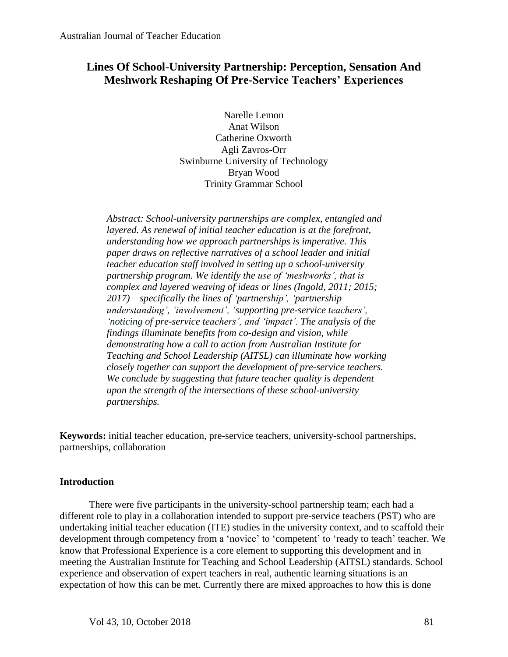## **Lines Of School-University Partnership: Perception, Sensation And Meshwork Reshaping Of Pre-Service Teachers' Experiences**

Narelle Lemon Anat Wilson Catherine Oxworth Agli Zavros-Orr Swinburne University of Technology Bryan Wood Trinity Grammar School

*Abstract: School-university partnerships are complex, entangled and layered. As renewal of initial teacher education is at the forefront, understanding how we approach partnerships is imperative. This paper draws on reflective narratives of a school leader and initial teacher education staff involved in setting up a school-university partnership program. We identify the use of 'meshworks', that is complex and layered weaving of ideas or lines (Ingold, 2011; 2015; 2017) – specifically the lines of 'partnership', 'partnership understanding', 'involvement', 'supporting pre-service teachers', 'noticing of pre-service teachers', and 'impact'. The analysis of the findings illuminate benefits from co-design and vision, while demonstrating how a call to action from Australian Institute for Teaching and School Leadership (AITSL) can illuminate how working closely together can support the development of pre-service teachers. We conclude by suggesting that future teacher quality is dependent upon the strength of the intersections of these school-university partnerships.* 

**Keywords:** initial teacher education, pre-service teachers, university-school partnerships, partnerships, collaboration

## **Introduction**

There were five participants in the university-school partnership team; each had a different role to play in a collaboration intended to support pre-service teachers (PST) who are undertaking initial teacher education (ITE) studies in the university context, and to scaffold their development through competency from a 'novice' to 'competent' to 'ready to teach' teacher. We know that Professional Experience is a core element to supporting this development and in meeting the Australian Institute for Teaching and School Leadership (AITSL) standards. School experience and observation of expert teachers in real, authentic learning situations is an expectation of how this can be met. Currently there are mixed approaches to how this is done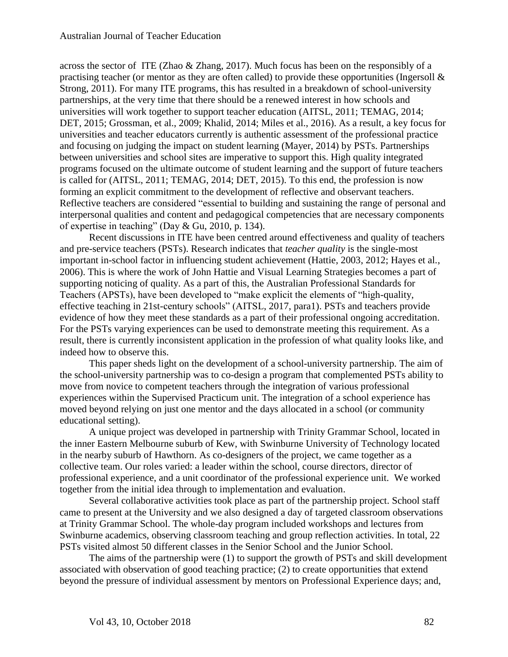across the sector of ITE (Zhao & Zhang, 2017). Much focus has been on the responsibly of a practising teacher (or mentor as they are often called) to provide these opportunities (Ingersoll  $\&$ Strong, 2011). For many ITE programs, this has resulted in a breakdown of school-university partnerships, at the very time that there should be a renewed interest in how schools and universities will work together to support teacher education (AITSL, 2011; TEMAG, 2014; DET, 2015; Grossman, et al., 2009; Khalid, 2014; Miles et al., 2016). As a result, a key focus for universities and teacher educators currently is authentic assessment of the professional practice and focusing on judging the impact on student learning (Mayer, 2014) by PSTs. Partnerships between universities and school sites are imperative to support this. High quality integrated programs focused on the ultimate outcome of student learning and the support of future teachers is called for (AITSL, 2011; TEMAG, 2014; DET, 2015). To this end, the profession is now forming an explicit commitment to the development of reflective and observant teachers. Reflective teachers are considered "essential to building and sustaining the range of personal and interpersonal qualities and content and pedagogical competencies that are necessary components of expertise in teaching" (Day & Gu, 2010, p. 134).

Recent discussions in ITE have been centred around effectiveness and quality of teachers and pre-service teachers (PSTs). Research indicates that *teacher quality* is the single-most important in-school factor in influencing student achievement (Hattie, 2003, 2012; Hayes et al*.*, 2006). This is where the work of John Hattie and Visual Learning Strategies becomes a part of supporting noticing of quality. As a part of this, the Australian Professional Standards for Teachers (APSTs), have been developed to "make explicit the elements of "high-quality, effective teaching in 21st-century schools" (AITSL, 2017, para1). PSTs and teachers provide evidence of how they meet these standards as a part of their professional ongoing accreditation. For the PSTs varying experiences can be used to demonstrate meeting this requirement. As a result, there is currently inconsistent application in the profession of what quality looks like, and indeed how to observe this.

This paper sheds light on the development of a school-university partnership. The aim of the school-university partnership was to co-design a program that complemented PSTs ability to move from novice to competent teachers through the integration of various professional experiences within the Supervised Practicum unit. The integration of a school experience has moved beyond relying on just one mentor and the days allocated in a school (or community educational setting).

A unique project was developed in partnership with Trinity Grammar School, located in the inner Eastern Melbourne suburb of Kew, with Swinburne University of Technology located in the nearby suburb of Hawthorn. As co-designers of the project, we came together as a collective team. Our roles varied: a leader within the school, course directors, director of professional experience, and a unit coordinator of the professional experience unit. We worked together from the initial idea through to implementation and evaluation.

Several collaborative activities took place as part of the partnership project. School staff came to present at the University and we also designed a day of targeted classroom observations at Trinity Grammar School. The whole-day program included workshops and lectures from Swinburne academics, observing classroom teaching and group reflection activities. In total, 22 PSTs visited almost 50 different classes in the Senior School and the Junior School.

The aims of the partnership were (1) to support the growth of PSTs and skill development associated with observation of good teaching practice; (2) to create opportunities that extend beyond the pressure of individual assessment by mentors on Professional Experience days; and,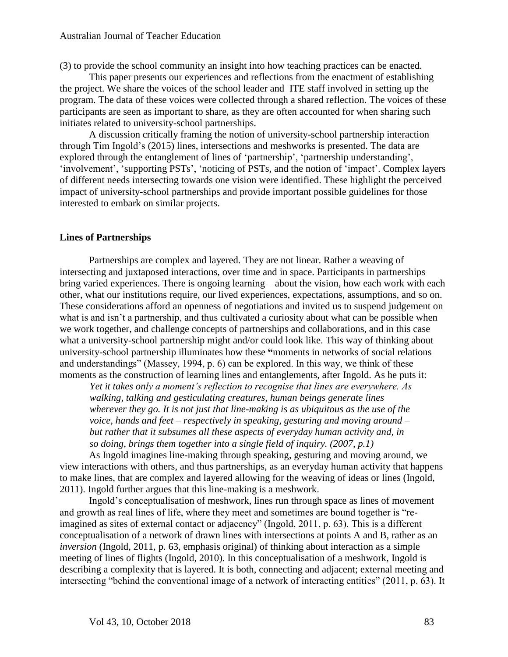(3) to provide the school community an insight into how teaching practices can be enacted.

This paper presents our experiences and reflections from the enactment of establishing the project. We share the voices of the school leader and ITE staff involved in setting up the program. The data of these voices were collected through a shared reflection. The voices of these participants are seen as important to share, as they are often accounted for when sharing such initiates related to university-school partnerships.

A discussion critically framing the notion of university-school partnership interaction through Tim Ingold's (2015) lines, intersections and meshworks is presented. The data are explored through the entanglement of lines of 'partnership', 'partnership understanding', 'involvement', 'supporting PSTs', 'noticing of PSTs, and the notion of 'impact'. Complex layers of different needs intersecting towards one vision were identified. These highlight the perceived impact of university-school partnerships and provide important possible guidelines for those interested to embark on similar projects.

#### **Lines of Partnerships**

Partnerships are complex and layered. They are not linear. Rather a weaving of intersecting and juxtaposed interactions, over time and in space. Participants in partnerships bring varied experiences. There is ongoing learning – about the vision, how each work with each other, what our institutions require, our lived experiences, expectations, assumptions, and so on. These considerations afford an openness of negotiations and invited us to suspend judgement on what is and isn't a partnership, and thus cultivated a curiosity about what can be possible when we work together, and challenge concepts of partnerships and collaborations, and in this case what a university-school partnership might and/or could look like. This way of thinking about university-school partnership illuminates how these **"**moments in networks of social relations and understandings" (Massey, 1994, p. 6) can be explored. In this way, we think of these moments as the construction of learning lines and entanglements, after Ingold. As he puts it:

*Yet it takes only a moment's reflection to recognise that lines are everywhere. As walking, talking and gesticulating creatures, human beings generate lines wherever they go. It is not just that line-making is as ubiquitous as the use of the voice, hands and feet – respectively in speaking, gesturing and moving around – but rather that it subsumes all these aspects of everyday human activity and, in so doing, brings them together into a single field of inquiry. (2007, p.1)*

As Ingold imagines line-making through speaking, gesturing and moving around, we view interactions with others, and thus partnerships, as an everyday human activity that happens to make lines, that are complex and layered allowing for the weaving of ideas or lines (Ingold, 2011). Ingold further argues that this line-making is a meshwork.

Ingold's conceptualisation of meshwork, lines run through space as lines of movement and growth as real lines of life, where they meet and sometimes are bound together is "reimagined as sites of external contact or adjacency" (Ingold, 2011, p. 63). This is a different conceptualisation of a network of drawn lines with intersections at points A and B, rather as an *inversion* (Ingold, 2011, p. 63, emphasis original) of thinking about interaction as a simple meeting of lines of flights (Ingold, 2010). In this conceptualisation of a meshwork, Ingold is describing a complexity that is layered. It is both, connecting and adjacent; external meeting and intersecting "behind the conventional image of a network of interacting entities" (2011, p. 63). It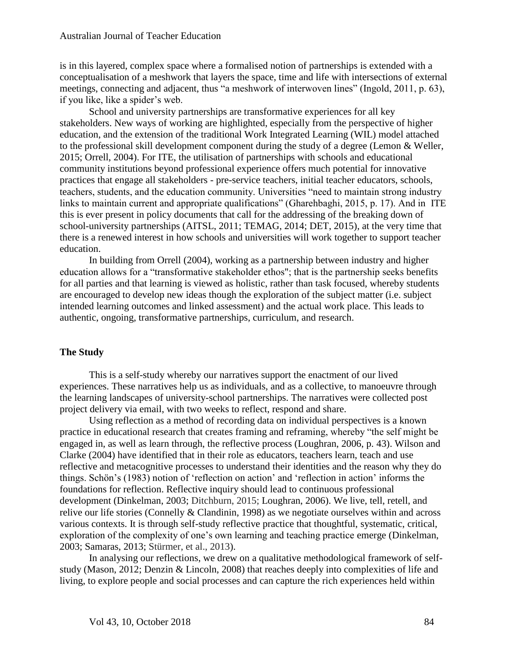is in this layered, complex space where a formalised notion of partnerships is extended with a conceptualisation of a meshwork that layers the space, time and life with intersections of external meetings, connecting and adjacent, thus "a meshwork of interwoven lines" (Ingold, 2011, p. 63), if you like, like a spider's web.

School and university partnerships are transformative experiences for all key stakeholders. New ways of working are highlighted, especially from the perspective of higher education, and the extension of the traditional Work Integrated Learning (WIL) model attached to the professional skill development component during the study of a degree (Lemon & Weller, 2015; Orrell, 2004). For ITE, the utilisation of partnerships with schools and educational community institutions beyond professional experience offers much potential for innovative practices that engage all stakeholders - pre-service teachers, initial teacher educators, schools, teachers, students, and the education community. Universities "need to maintain strong industry links to maintain current and appropriate qualifications" (Gharehbaghi, 2015, p. 17). And in ITE this is ever present in policy documents that call for the addressing of the breaking down of school-university partnerships (AITSL, 2011; TEMAG, 2014; DET, 2015), at the very time that there is a renewed interest in how schools and universities will work together to support teacher education.

In building from Orrell (2004), working as a partnership between industry and higher education allows for a "transformative stakeholder ethos"; that is the partnership seeks benefits for all parties and that learning is viewed as holistic, rather than task focused, whereby students are encouraged to develop new ideas though the exploration of the subject matter (i.e. subject intended learning outcomes and linked assessment) and the actual work place. This leads to authentic, ongoing, transformative partnerships, curriculum, and research.

### **The Study**

This is a self-study whereby our narratives support the enactment of our lived experiences. These narratives help us as individuals, and as a collective, to manoeuvre through the learning landscapes of university-school partnerships. The narratives were collected post project delivery via email, with two weeks to reflect, respond and share.

Using reflection as a method of recording data on individual perspectives is a known practice in educational research that creates framing and reframing, whereby "the self might be engaged in, as well as learn through, the reflective process (Loughran, 2006, p. 43). Wilson and Clarke (2004) have identified that in their role as educators, teachers learn, teach and use reflective and metacognitive processes to understand their identities and the reason why they do things. Schön's (1983) notion of 'reflection on action' and 'reflection in action' informs the foundations for reflection. Reflective inquiry should lead to continuous professional development (Dinkelman, 2003; Ditchburn, 2015; Loughran, 2006). We live, tell, retell, and relive our life stories (Connelly & Clandinin, 1998) as we negotiate ourselves within and across various contexts. It is through self-study reflective practice that thoughtful, systematic, critical, exploration of the complexity of one's own learning and teaching practice emerge (Dinkelman, 2003; Samaras, 2013; Stürmer, et al., 2013).

In analysing our reflections, we drew on a qualitative methodological framework of selfstudy (Mason, 2012; Denzin & Lincoln, 2008) that reaches deeply into complexities of life and living, to explore people and social processes and can capture the rich experiences held within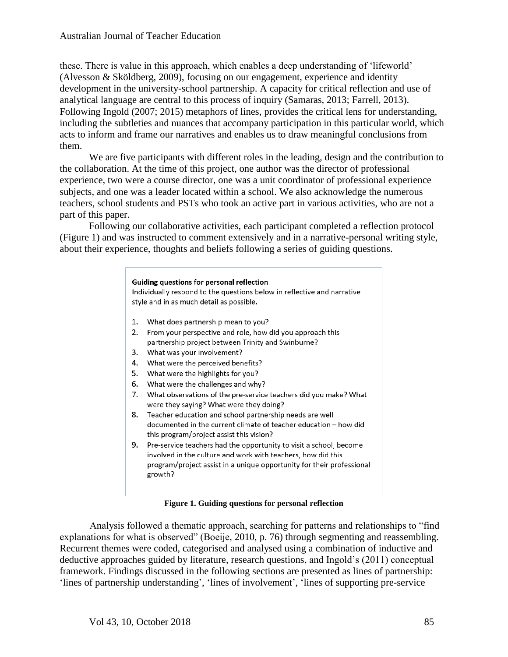these. There is value in this approach, which enables a deep understanding of 'lifeworld' (Alvesson & Sköldberg, 2009), focusing on our engagement, experience and identity development in the university-school partnership. A capacity for critical reflection and use of analytical language are central to this process of inquiry (Samaras, 2013; Farrell, 2013). Following Ingold (2007; 2015) metaphors of lines, provides the critical lens for understanding, including the subtleties and nuances that accompany participation in this particular world, which acts to inform and frame our narratives and enables us to draw meaningful conclusions from them.

We are five participants with different roles in the leading, design and the contribution to the collaboration. At the time of this project, one author was the director of professional experience, two were a course director, one was a unit coordinator of professional experience subjects, and one was a leader located within a school. We also acknowledge the numerous teachers, school students and PSTs who took an active part in various activities, who are not a part of this paper.

Following our collaborative activities, each participant completed a reflection protocol (Figure 1) and was instructed to comment extensively and in a narrative-personal writing style, about their experience, thoughts and beliefs following a series of guiding questions.

## Guiding questions for personal reflection Individually respond to the questions below in reflective and narrative style and in as much detail as possible. 1. What does partnership mean to you? 2. From your perspective and role, how did you approach this partnership project between Trinity and Swinburne? 3. What was your involvement? 4. What were the perceived benefits? 5. What were the highlights for you? 6. What were the challenges and why? 7. What observations of the pre-service teachers did you make? What were they saying? What were they doing? 8. Teacher education and school partnership needs are well documented in the current climate of teacher education - how did this program/project assist this vision? 9. Pre-service teachers had the opportunity to visit a school, become involved in the culture and work with teachers, how did this program/project assist in a unique opportunity for their professional growth?

#### **Figure 1. Guiding questions for personal reflection**

Analysis followed a thematic approach, searching for patterns and relationships to "find explanations for what is observed" (Boeije, 2010, p. 76) through segmenting and reassembling. Recurrent themes were coded, categorised and analysed using a combination of inductive and deductive approaches guided by literature, research questions, and Ingold's (2011) conceptual framework. Findings discussed in the following sections are presented as lines of partnership: 'lines of partnership understanding', 'lines of involvement', 'lines of supporting pre-service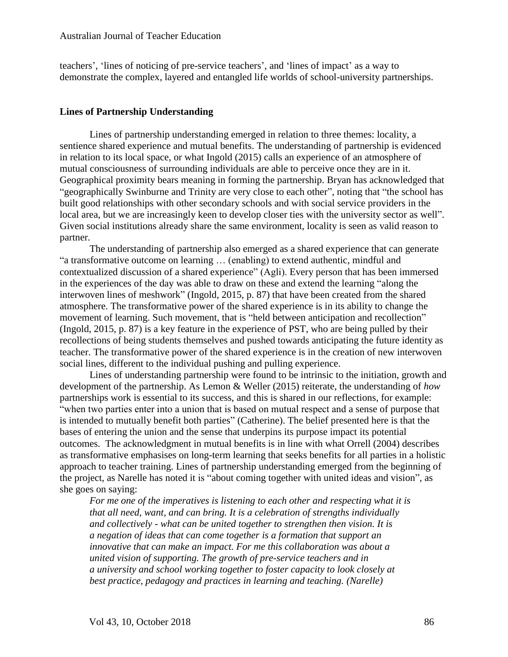teachers', 'lines of noticing of pre-service teachers', and 'lines of impact' as a way to demonstrate the complex, layered and entangled life worlds of school-university partnerships.

## **Lines of Partnership Understanding**

Lines of partnership understanding emerged in relation to three themes: locality, a sentience shared experience and mutual benefits. The understanding of partnership is evidenced in relation to its local space, or what Ingold (2015) calls an experience of an atmosphere of mutual consciousness of surrounding individuals are able to perceive once they are in it. Geographical proximity bears meaning in forming the partnership. Bryan has acknowledged that "geographically Swinburne and Trinity are very close to each other", noting that "the school has built good relationships with other secondary schools and with social service providers in the local area, but we are increasingly keen to develop closer ties with the university sector as well". Given social institutions already share the same environment, locality is seen as valid reason to partner.

The understanding of partnership also emerged as a shared experience that can generate "a transformative outcome on learning … (enabling) to extend authentic, mindful and contextualized discussion of a shared experience" (Agli). Every person that has been immersed in the experiences of the day was able to draw on these and extend the learning "along the interwoven lines of meshwork" (Ingold, 2015, p. 87) that have been created from the shared atmosphere. The transformative power of the shared experience is in its ability to change the movement of learning. Such movement, that is "held between anticipation and recollection" (Ingold, 2015, p. 87) is a key feature in the experience of PST, who are being pulled by their recollections of being students themselves and pushed towards anticipating the future identity as teacher. The transformative power of the shared experience is in the creation of new interwoven social lines, different to the individual pushing and pulling experience.

Lines of understanding partnership were found to be intrinsic to the initiation, growth and development of the partnership. As Lemon & Weller (2015) reiterate, the understanding of *how* partnerships work is essential to its success, and this is shared in our reflections, for example: "when two parties enter into a union that is based on mutual respect and a sense of purpose that is intended to mutually benefit both parties" (Catherine). The belief presented here is that the bases of entering the union and the sense that underpins its purpose impact its potential outcomes. The acknowledgment in mutual benefits is in line with what Orrell (2004) describes as transformative emphasises on long-term learning that seeks benefits for all parties in a holistic approach to teacher training. Lines of partnership understanding emerged from the beginning of the project, as Narelle has noted it is "about coming together with united ideas and vision", as she goes on saying:

*For me one of the imperatives is listening to each other and respecting what it is that all need, want, and can bring. It is a celebration of strengths individually and collectively - what can be united together to strengthen then vision. It is a negation of ideas that can come together is a formation that support an innovative that can make an impact. For me this collaboration was about a united vision of supporting. The growth of pre-service teachers and in a university and school working together to foster capacity to look closely at best practice, pedagogy and practices in learning and teaching. (Narelle)*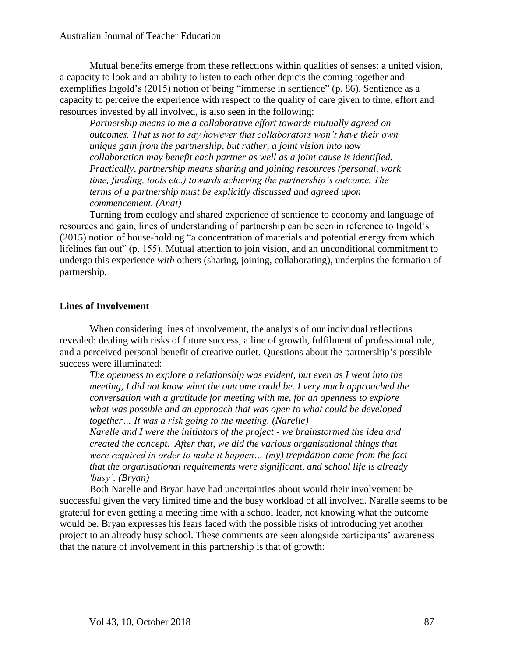Mutual benefits emerge from these reflections within qualities of senses: a united vision, a capacity to look and an ability to listen to each other depicts the coming together and exemplifies Ingold's (2015) notion of being "immerse in sentience" (p. 86). Sentience as a capacity to perceive the experience with respect to the quality of care given to time, effort and resources invested by all involved, is also seen in the following:

*Partnership means to me a collaborative effort towards mutually agreed on outcomes. That is not to say however that collaborators won't have their own unique gain from the partnership, but rather, a joint vision into how collaboration may benefit each partner as well as a joint cause is identified. Practically, partnership means sharing and joining resources (personal, work time, funding, tools etc.) towards achieving the partnership's outcome. The terms of a partnership must be explicitly discussed and agreed upon commencement. (Anat)* 

Turning from ecology and shared experience of sentience to economy and language of resources and gain, lines of understanding of partnership can be seen in reference to Ingold's (2015) notion of house-holding "a concentration of materials and potential energy from which lifelines fan out" (p. 155). Mutual attention to join vision, and an unconditional commitment to undergo this experience *with* others (sharing, joining, collaborating), underpins the formation of partnership.

## **Lines of Involvement**

When considering lines of involvement, the analysis of our individual reflections revealed: dealing with risks of future success, a line of growth, fulfilment of professional role, and a perceived personal benefit of creative outlet. Questions about the partnership's possible success were illuminated:

*The openness to explore a relationship was evident, but even as I went into the meeting, I did not know what the outcome could be. I very much approached the conversation with a gratitude for meeting with me, for an openness to explore what was possible and an approach that was open to what could be developed together… It was a risk going to the meeting. (Narelle)*

*Narelle and I were the initiators of the project - we brainstormed the idea and created the concept. After that, we did the various organisational things that were required in order to make it happen… (my) trepidation came from the fact that the organisational requirements were significant, and school life is already 'busy'. (Bryan)*

Both Narelle and Bryan have had uncertainties about would their involvement be successful given the very limited time and the busy workload of all involved. Narelle seems to be grateful for even getting a meeting time with a school leader, not knowing what the outcome would be. Bryan expresses his fears faced with the possible risks of introducing yet another project to an already busy school. These comments are seen alongside participants' awareness that the nature of involvement in this partnership is that of growth: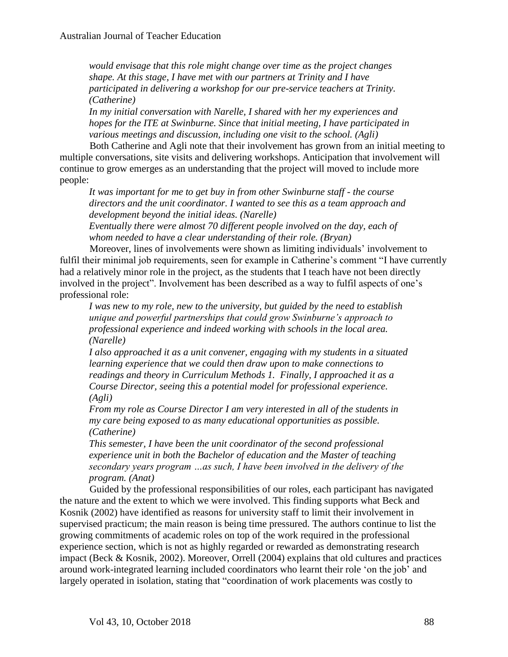*would envisage that this role might change over time as the project changes shape. At this stage, I have met with our partners at Trinity and I have participated in delivering a workshop for our pre-service teachers at Trinity. (Catherine)*

*In my initial conversation with Narelle, I shared with her my experiences and hopes for the ITE at Swinburne. Since that initial meeting, I have participated in various meetings and discussion, including one visit to the school. (Agli)* 

Both Catherine and Agli note that their involvement has grown from an initial meeting to multiple conversations, site visits and delivering workshops. Anticipation that involvement will continue to grow emerges as an understanding that the project will moved to include more people:

*It was important for me to get buy in from other Swinburne staff - the course directors and the unit coordinator. I wanted to see this as a team approach and development beyond the initial ideas. (Narelle)*

*Eventually there were almost 70 different people involved on the day, each of whom needed to have a clear understanding of their role. (Bryan)*

Moreover, lines of involvements were shown as limiting individuals' involvement to fulfil their minimal job requirements, seen for example in Catherine's comment "I have currently had a relatively minor role in the project, as the students that I teach have not been directly involved in the project". Involvement has been described as a way to fulfil aspects of one's professional role:

*I was new to my role, new to the university, but guided by the need to establish unique and powerful partnerships that could grow Swinburne's approach to professional experience and indeed working with schools in the local area. (Narelle)*

*I also approached it as a unit convener, engaging with my students in a situated learning experience that we could then draw upon to make connections to readings and theory in Curriculum Methods 1. Finally, I approached it as a Course Director, seeing this a potential model for professional experience. (Agli)* 

*From my role as Course Director I am very interested in all of the students in my care being exposed to as many educational opportunities as possible. (Catherine)*

*This semester, I have been the unit coordinator of the second professional experience unit in both the Bachelor of education and the Master of teaching secondary years program …as such, I have been involved in the delivery of the program. (Anat)*

Guided by the professional responsibilities of our roles, each participant has navigated the nature and the extent to which we were involved. This finding supports what Beck and Kosnik (2002) have identified as reasons for university staff to limit their involvement in supervised practicum; the main reason is being time pressured. The authors continue to list the growing commitments of academic roles on top of the work required in the professional experience section, which is not as highly regarded or rewarded as demonstrating research impact (Beck & Kosnik, 2002). Moreover, Orrell (2004) explains that old cultures and practices around work-integrated learning included coordinators who learnt their role 'on the job' and largely operated in isolation, stating that "coordination of work placements was costly to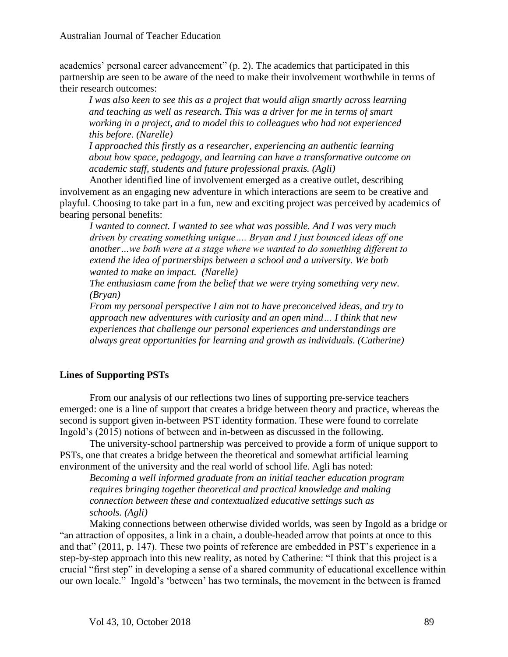academics' personal career advancement" (p. 2). The academics that participated in this partnership are seen to be aware of the need to make their involvement worthwhile in terms of their research outcomes:

*I was also keen to see this as a project that would align smartly across learning and teaching as well as research. This was a driver for me in terms of smart working in a project, and to model this to colleagues who had not experienced this before. (Narelle)* 

*I approached this firstly as a researcher, experiencing an authentic learning about how space, pedagogy, and learning can have a transformative outcome on academic staff, students and future professional praxis. (Agli)* 

Another identified line of involvement emerged as a creative outlet, describing involvement as an engaging new adventure in which interactions are seem to be creative and playful. Choosing to take part in a fun, new and exciting project was perceived by academics of bearing personal benefits:

*I wanted to connect. I wanted to see what was possible. And I was very much driven by creating something unique…. Bryan and I just bounced ideas off one another…we both were at a stage where we wanted to do something different to extend the idea of partnerships between a school and a university. We both wanted to make an impact. (Narelle)*

*The enthusiasm came from the belief that we were trying something very new. (Bryan)*

*From my personal perspective I aim not to have preconceived ideas, and try to approach new adventures with curiosity and an open mind… I think that new experiences that challenge our personal experiences and understandings are always great opportunities for learning and growth as individuals. (Catherine)*

## **Lines of Supporting PSTs**

From our analysis of our reflections two lines of supporting pre-service teachers emerged: one is a line of support that creates a bridge between theory and practice, whereas the second is support given in-between PST identity formation. These were found to correlate Ingold's (2015) notions of between and in-between as discussed in the following.

The university-school partnership was perceived to provide a form of unique support to PSTs, one that creates a bridge between the theoretical and somewhat artificial learning environment of the university and the real world of school life. Agli has noted:

*Becoming a well informed graduate from an initial teacher education program requires bringing together theoretical and practical knowledge and making connection between these and contextualized educative settings such as schools. (Agli)* 

Making connections between otherwise divided worlds, was seen by Ingold as a bridge or "an attraction of opposites, a link in a chain, a double-headed arrow that points at once to this and that" (2011, p. 147). These two points of reference are embedded in PST's experience in a step-by-step approach into this new reality, as noted by Catherine: "I think that this project is a crucial "first step" in developing a sense of a shared community of educational excellence within our own locale." Ingold's 'between' has two terminals, the movement in the between is framed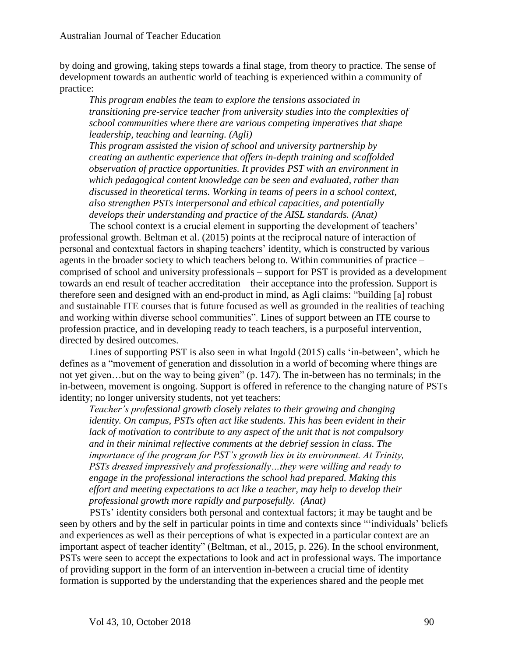by doing and growing, taking steps towards a final stage, from theory to practice. The sense of development towards an authentic world of teaching is experienced within a community of practice:

*This program enables the team to explore the tensions associated in transitioning pre-service teacher from university studies into the complexities of school communities where there are various competing imperatives that shape leadership, teaching and learning. (Agli)*

*This program assisted the vision of school and university partnership by creating an authentic experience that offers in-depth training and scaffolded observation of practice opportunities. It provides PST with an environment in which pedagogical content knowledge can be seen and evaluated, rather than discussed in theoretical terms. Working in teams of peers in a school context, also strengthen PSTs interpersonal and ethical capacities, and potentially develops their understanding and practice of the AISL standards. (Anat)*

The school context is a crucial element in supporting the development of teachers' professional growth. Beltman et al. (2015) points at the reciprocal nature of interaction of personal and contextual factors in shaping teachers' identity, which is constructed by various agents in the broader society to which teachers belong to. Within communities of practice – comprised of school and university professionals – support for PST is provided as a development towards an end result of teacher accreditation – their acceptance into the profession. Support is therefore seen and designed with an end-product in mind, as Agli claims: "building [a] robust and sustainable ITE courses that is future focused as well as grounded in the realities of teaching and working within diverse school communities". Lines of support between an ITE course to profession practice, and in developing ready to teach teachers, is a purposeful intervention, directed by desired outcomes.

Lines of supporting PST is also seen in what Ingold (2015) calls 'in-between', which he defines as a "movement of generation and dissolution in a world of becoming where things are not yet given…but on the way to being given" (p. 147). The in-between has no terminals; in the in-between, movement is ongoing. Support is offered in reference to the changing nature of PSTs identity; no longer university students, not yet teachers:

*Teacher's professional growth closely relates to their growing and changing identity. On campus, PSTs often act like students. This has been evident in their lack of motivation to contribute to any aspect of the unit that is not compulsory and in their minimal reflective comments at the debrief session in class. The importance of the program for PST's growth lies in its environment. At Trinity, PSTs dressed impressively and professionally…they were willing and ready to engage in the professional interactions the school had prepared. Making this effort and meeting expectations to act like a teacher, may help to develop their professional growth more rapidly and purposefully. (Anat)* 

PSTs' identity considers both personal and contextual factors; it may be taught and be seen by others and by the self in particular points in time and contexts since "'individuals' beliefs and experiences as well as their perceptions of what is expected in a particular context are an important aspect of teacher identity" (Beltman, et al., 2015, p. 226). In the school environment, PSTs were seen to accept the expectations to look and act in professional ways. The importance of providing support in the form of an intervention in-between a crucial time of identity formation is supported by the understanding that the experiences shared and the people met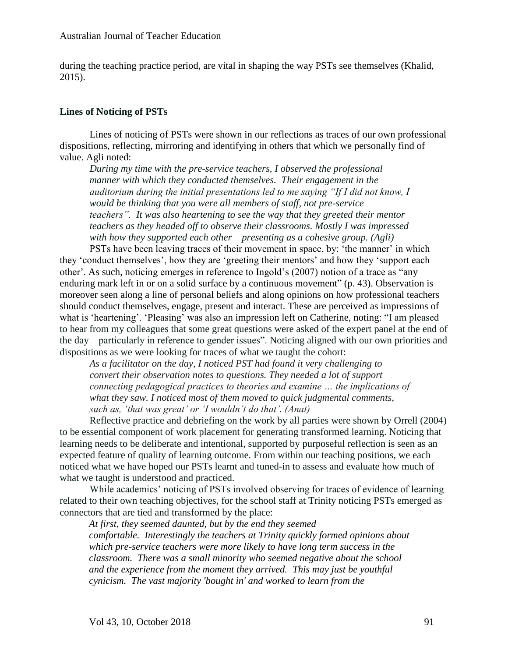during the teaching practice period, are vital in shaping the way PSTs see themselves (Khalid, 2015).

## **Lines of Noticing of PSTs**

Lines of noticing of PSTs were shown in our reflections as traces of our own professional dispositions, reflecting, mirroring and identifying in others that which we personally find of value. Agli noted:

*During my time with the pre-service teachers, I observed the professional manner with which they conducted themselves. Their engagement in the auditorium during the initial presentations led to me saying "If I did not know, I would be thinking that you were all members of staff, not pre-service teachers". It was also heartening to see the way that they greeted their mentor teachers as they headed off to observe their classrooms. Mostly I was impressed with how they supported each other – presenting as a cohesive group. (Agli)*

PSTs have been leaving traces of their movement in space, by: 'the manner' in which they 'conduct themselves', how they are 'greeting their mentors' and how they 'support each other'. As such, noticing emerges in reference to Ingold's (2007) notion of a trace as "any enduring mark left in or on a solid surface by a continuous movement" (p. 43). Observation is moreover seen along a line of personal beliefs and along opinions on how professional teachers should conduct themselves, engage, present and interact. These are perceived as impressions of what is 'heartening'. 'Pleasing' was also an impression left on Catherine, noting: "I am pleased to hear from my colleagues that some great questions were asked of the expert panel at the end of the day – particularly in reference to gender issues". Noticing aligned with our own priorities and dispositions as we were looking for traces of what we taught the cohort:

*As a facilitator on the day, I noticed PST had found it very challenging to convert their observation notes to questions. They needed a lot of support connecting pedagogical practices to theories and examine … the implications of what they saw. I noticed most of them moved to quick judgmental comments, such as, 'that was great' or 'I wouldn't do that'. (Anat)* 

Reflective practice and debriefing on the work by all parties were shown by Orrell (2004) to be essential component of work placement for generating transformed learning. Noticing that learning needs to be deliberate and intentional, supported by purposeful reflection is seen as an expected feature of quality of learning outcome. From within our teaching positions, we each noticed what we have hoped our PSTs learnt and tuned-in to assess and evaluate how much of what we taught is understood and practiced.

While academics' noticing of PSTs involved observing for traces of evidence of learning related to their own teaching objectives, for the school staff at Trinity noticing PSTs emerged as connectors that are tied and transformed by the place:

*At first, they seemed daunted, but by the end they seemed comfortable. Interestingly the teachers at Trinity quickly formed opinions about which pre-service teachers were more likely to have long term success in the classroom. There was a small minority who seemed negative about the school and the experience from the moment they arrived. This may just be youthful cynicism. The vast majority 'bought in' and worked to learn from the*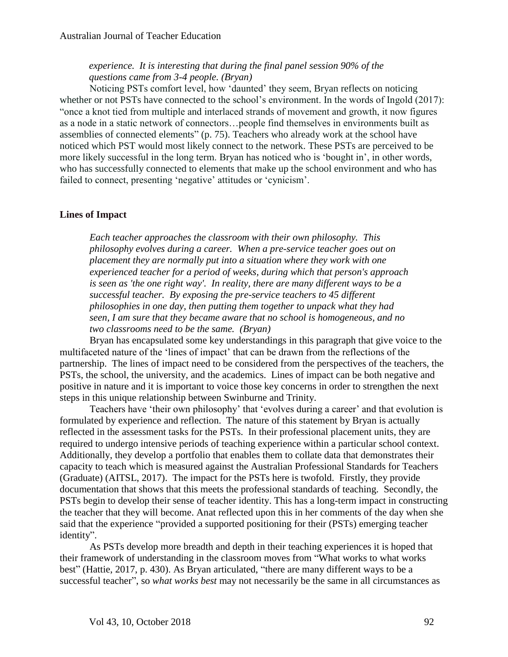## *experience. It is interesting that during the final panel session 90% of the questions came from 3-4 people. (Bryan)*

Noticing PSTs comfort level, how 'daunted' they seem, Bryan reflects on noticing whether or not PSTs have connected to the school's environment. In the words of Ingold (2017): "once a knot tied from multiple and interlaced strands of movement and growth, it now figures as a node in a static network of connectors…people find themselves in environments built as assemblies of connected elements" (p. 75). Teachers who already work at the school have noticed which PST would most likely connect to the network. These PSTs are perceived to be more likely successful in the long term. Bryan has noticed who is 'bought in', in other words, who has successfully connected to elements that make up the school environment and who has failed to connect, presenting 'negative' attitudes or 'cynicism'.

## **Lines of Impact**

*Each teacher approaches the classroom with their own philosophy. This philosophy evolves during a career. When a pre-service teacher goes out on placement they are normally put into a situation where they work with one experienced teacher for a period of weeks, during which that person's approach is seen as 'the one right way'. In reality, there are many different ways to be a successful teacher. By exposing the pre-service teachers to 45 different philosophies in one day, then putting them together to unpack what they had seen, I am sure that they became aware that no school is homogeneous, and no two classrooms need to be the same. (Bryan)* 

Bryan has encapsulated some key understandings in this paragraph that give voice to the multifaceted nature of the 'lines of impact' that can be drawn from the reflections of the partnership. The lines of impact need to be considered from the perspectives of the teachers, the PSTs, the school, the university, and the academics. Lines of impact can be both negative and positive in nature and it is important to voice those key concerns in order to strengthen the next steps in this unique relationship between Swinburne and Trinity.

Teachers have 'their own philosophy' that 'evolves during a career' and that evolution is formulated by experience and reflection. The nature of this statement by Bryan is actually reflected in the assessment tasks for the PSTs. In their professional placement units, they are required to undergo intensive periods of teaching experience within a particular school context. Additionally, they develop a portfolio that enables them to collate data that demonstrates their capacity to teach which is measured against the Australian Professional Standards for Teachers (Graduate) (AITSL, 2017). The impact for the PSTs here is twofold. Firstly, they provide documentation that shows that this meets the professional standards of teaching. Secondly, the PSTs begin to develop their sense of teacher identity. This has a long-term impact in constructing the teacher that they will become. Anat reflected upon this in her comments of the day when she said that the experience "provided a supported positioning for their (PSTs) emerging teacher identity".

As PSTs develop more breadth and depth in their teaching experiences it is hoped that their framework of understanding in the classroom moves from "What works to what works best" (Hattie, 2017, p. 430). As Bryan articulated, "there are many different ways to be a successful teacher", so *what works best* may not necessarily be the same in all circumstances as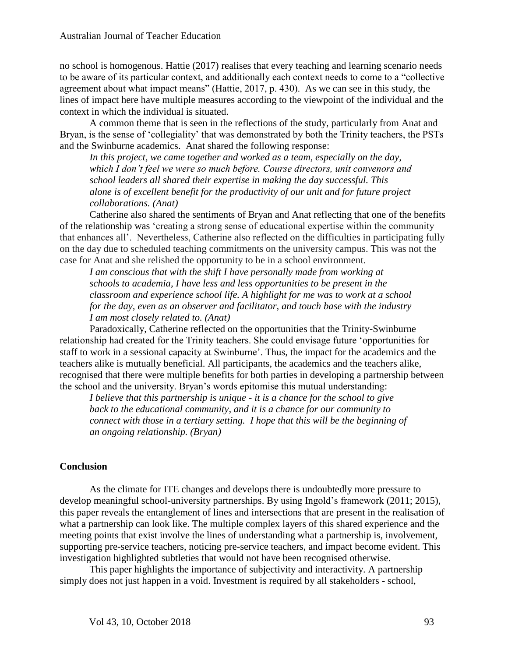no school is homogenous. Hattie (2017) realises that every teaching and learning scenario needs to be aware of its particular context, and additionally each context needs to come to a "collective agreement about what impact means" (Hattie, 2017, p. 430). As we can see in this study, the lines of impact here have multiple measures according to the viewpoint of the individual and the context in which the individual is situated.

A common theme that is seen in the reflections of the study, particularly from Anat and Bryan, is the sense of 'collegiality' that was demonstrated by both the Trinity teachers, the PSTs and the Swinburne academics. Anat shared the following response:

*In this project, we came together and worked as a team, especially on the day, which I don't feel we were so much before. Course directors, unit convenors and school leaders all shared their expertise in making the day successful. This alone is of excellent benefit for the productivity of our unit and for future project collaborations. (Anat)*

Catherine also shared the sentiments of Bryan and Anat reflecting that one of the benefits of the relationship was 'creating a strong sense of educational expertise within the community that enhances all'. Nevertheless, Catherine also reflected on the difficulties in participating fully on the day due to scheduled teaching commitments on the university campus. This was not the case for Anat and she relished the opportunity to be in a school environment.

*I am conscious that with the shift I have personally made from working at schools to academia, I have less and less opportunities to be present in the classroom and experience school life. A highlight for me was to work at a school for the day, even as an observer and facilitator, and touch base with the industry I am most closely related to. (Anat)*

Paradoxically, Catherine reflected on the opportunities that the Trinity-Swinburne relationship had created for the Trinity teachers. She could envisage future 'opportunities for staff to work in a sessional capacity at Swinburne'. Thus, the impact for the academics and the teachers alike is mutually beneficial. All participants, the academics and the teachers alike, recognised that there were multiple benefits for both parties in developing a partnership between the school and the university. Bryan's words epitomise this mutual understanding:

*I believe that this partnership is unique - it is a chance for the school to give back to the educational community, and it is a chance for our community to connect with those in a tertiary setting. I hope that this will be the beginning of an ongoing relationship. (Bryan)* 

#### **Conclusion**

As the climate for ITE changes and develops there is undoubtedly more pressure to develop meaningful school-university partnerships. By using Ingold's framework (2011; 2015), this paper reveals the entanglement of lines and intersections that are present in the realisation of what a partnership can look like. The multiple complex layers of this shared experience and the meeting points that exist involve the lines of understanding what a partnership is, involvement, supporting pre-service teachers, noticing pre-service teachers, and impact become evident. This investigation highlighted subtleties that would not have been recognised otherwise.

This paper highlights the importance of subjectivity and interactivity. A partnership simply does not just happen in a void. Investment is required by all stakeholders - school,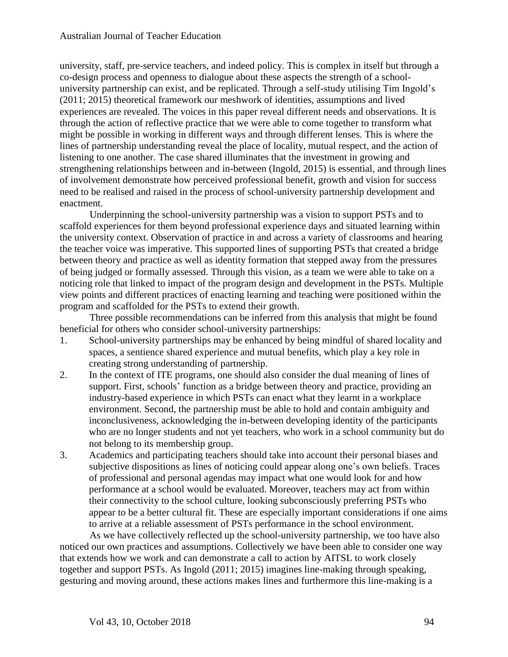university, staff, pre-service teachers, and indeed policy. This is complex in itself but through a co-design process and openness to dialogue about these aspects the strength of a schooluniversity partnership can exist, and be replicated. Through a self-study utilising Tim Ingold's (2011; 2015) theoretical framework our meshwork of identities, assumptions and lived experiences are revealed. The voices in this paper reveal different needs and observations. It is through the action of reflective practice that we were able to come together to transform what might be possible in working in different ways and through different lenses. This is where the lines of partnership understanding reveal the place of locality, mutual respect, and the action of listening to one another. The case shared illuminates that the investment in growing and strengthening relationships between and in-between (Ingold, 2015) is essential, and through lines of involvement demonstrate how perceived professional benefit, growth and vision for success need to be realised and raised in the process of school-university partnership development and enactment.

Underpinning the school-university partnership was a vision to support PSTs and to scaffold experiences for them beyond professional experience days and situated learning within the university context. Observation of practice in and across a variety of classrooms and hearing the teacher voice was imperative. This supported lines of supporting PSTs that created a bridge between theory and practice as well as identity formation that stepped away from the pressures of being judged or formally assessed. Through this vision, as a team we were able to take on a noticing role that linked to impact of the program design and development in the PSTs. Multiple view points and different practices of enacting learning and teaching were positioned within the program and scaffolded for the PSTs to extend their growth.

Three possible recommendations can be inferred from this analysis that might be found beneficial for others who consider school-university partnerships:

- 1. School-university partnerships may be enhanced by being mindful of shared locality and spaces, a sentience shared experience and mutual benefits, which play a key role in creating strong understanding of partnership.
- 2. In the context of ITE programs, one should also consider the dual meaning of lines of support. First, schools' function as a bridge between theory and practice, providing an industry-based experience in which PSTs can enact what they learnt in a workplace environment. Second, the partnership must be able to hold and contain ambiguity and inconclusiveness, acknowledging the in-between developing identity of the participants who are no longer students and not yet teachers, who work in a school community but do not belong to its membership group.
- 3. Academics and participating teachers should take into account their personal biases and subjective dispositions as lines of noticing could appear along one's own beliefs. Traces of professional and personal agendas may impact what one would look for and how performance at a school would be evaluated. Moreover, teachers may act from within their connectivity to the school culture, looking subconsciously preferring PSTs who appear to be a better cultural fit. These are especially important considerations if one aims to arrive at a reliable assessment of PSTs performance in the school environment.

As we have collectively reflected up the school-university partnership, we too have also noticed our own practices and assumptions. Collectively we have been able to consider one way that extends how we work and can demonstrate a call to action by AITSL to work closely together and support PSTs. As Ingold (2011; 2015) imagines line-making through speaking, gesturing and moving around, these actions makes lines and furthermore this line-making is a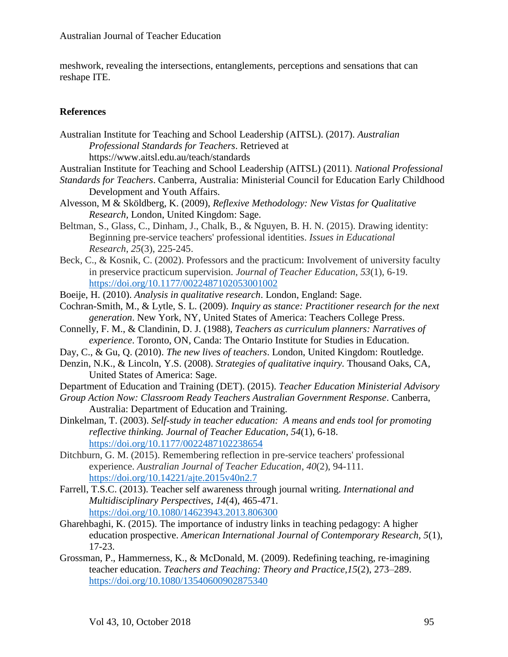meshwork, revealing the intersections, entanglements, perceptions and sensations that can reshape ITE.

## **References**

- Australian Institute for Teaching and School Leadership (AITSL). (2017). *Australian Professional Standards for Teachers*. Retrieved at <https://www.aitsl.edu.au/teach/standards>
- Australian Institute for Teaching and School Leadership (AITSL) (2011). *National Professional*
- *Standards for Teachers*. Canberra, Australia: Ministerial Council for Education Early Childhood Development and Youth Affairs.
- Alvesson, M & Sköldberg, K. (2009), *Reflexive Methodology: New Vistas for Qualitative Research,* London, United Kingdom: Sage.
- Beltman, S., Glass, C., Dinham, J., Chalk, B., & Nguyen, B. H. N. (2015). Drawing identity: Beginning pre-service teachers' professional identities. *Issues in Educational Research*, *25*(3), 225-245.
- Beck, C., & Kosnik, C. (2002). Professors and the practicum: Involvement of university faculty in preservice practicum supervision. *Journal of Teacher Education*, *53*(1), 6-19. <https://doi.org/10.1177/0022487102053001002>
- Boeije, H. (2010). *Analysis in qualitative research*. London, England: Sage.
- Cochran-Smith, M., & Lytle, S. L. (2009). *Inquiry as stance: Practitioner research for the next generation*. New York, NY, United States of America: Teachers College Press.
- Connelly, F. M., & Clandinin, D. J. (1988), *Teachers as curriculum planners: Narratives of experience*. Toronto, ON, Canda: The Ontario Institute for Studies in Education.
- Day, C., & Gu, Q. (2010). *The new lives of teachers*. London, United Kingdom: Routledge.
- Denzin, N.K., & Lincoln, Y.S. (2008). *Strategies of qualitative inquiry.* Thousand Oaks, CA, United States of America: Sage.
- Department of Education and Training (DET). (2015). *Teacher Education Ministerial Advisory*
- *Group Action Now: Classroom Ready Teachers Australian Government Response*. Canberra, Australia: Department of Education and Training.
- Dinkelman, T. (2003). *[Self-study in teacher education: A means and ends tool for promoting](http://p8081-docutek.lib.uh.edu.ezproxy.lib.uh.edu/eres/documentview.aspx?cid=1705&associd=24614&format=modal&modalid=ctl00_BodyContent_docPopup)  [reflective thinking.](http://p8081-docutek.lib.uh.edu.ezproxy.lib.uh.edu/eres/documentview.aspx?cid=1705&associd=24614&format=modal&modalid=ctl00_BodyContent_docPopup) Journal of Teacher Education*, *54*(1), 6-18. <https://doi.org/10.1177/0022487102238654>
- Ditchburn, G. M. (2015). Remembering reflection in pre-service teachers' professional experience. *Australian Journal of Teacher Education*, *40*(2), 94-111. <https://doi.org/10.14221/ajte.2015v40n2.7>
- Farrell, T.S.C. (2013). Teacher self awareness through journal writing. *International and Multidisciplinary Perspectives*, *14*(4), 465-471. <https://doi.org/10.1080/14623943.2013.806300>
- Gharehbaghi, K. (2015). The importance of industry links in teaching pedagogy: A higher education prospective. *American International Journal of Contemporary Research, 5*(1), 17-23.
- Grossman, P., Hammerness, K., & McDonald, M. (2009). Redefining teaching, re-imagining teacher education. *Teachers and Teaching: Theory and Practice,15*(2), 273–289. <https://doi.org/10.1080/13540600902875340>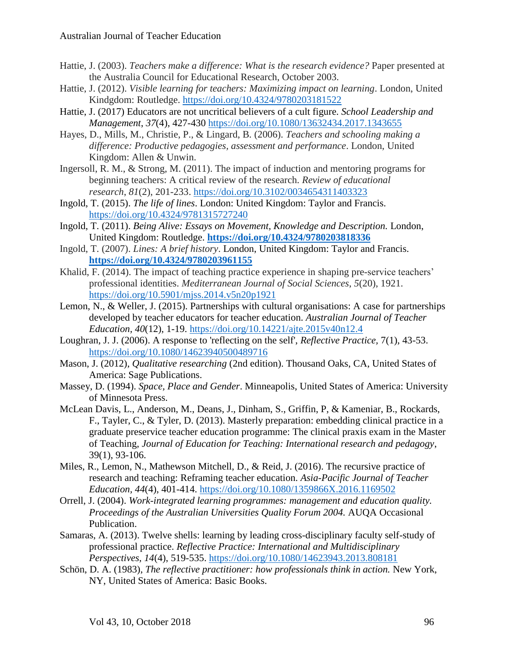- Hattie, J. (2003). *Teachers make a difference: What is the research evidence?* Paper presented at the Australia Council for Educational Research, October 2003.
- Hattie, J. (2012). *Visible learning for teachers: Maximizing impact on learning*. London, United Kindgdom: Routledge. <https://doi.org/10.4324/9780203181522>
- Hattie, J. (2017) Educators are not uncritical believers of a cult figure. *School Leadership and Management*, *37*(4), 427-430 <https://doi.org/10.1080/13632434.2017.1343655>
- Hayes, D., Mills, M., Christie, P., & Lingard, B. (2006). *Teachers and schooling making a difference: Productive pedagogies, assessment and performance*. London, United Kingdom: Allen & Unwin.
- Ingersoll, R. M., & Strong, M. (2011). The impact of induction and mentoring programs for beginning teachers: A critical review of the research. *Review of educational research*, *81*(2), 201-233. <https://doi.org/10.3102/0034654311403323>
- Ingold, T. (2015). *The life of lines*. London: United Kingdom: Taylor and Francis. <https://doi.org/10.4324/9781315727240>
- Ingold, T. (2011). *Being Alive: Essays on Movement, Knowledge and Description.* London, United Kingdom: Routledge. **<https://doi.org/10.4324/9780203818336>**
- Ingold, T. (2007). *Lines: A brief history*. London, United Kingdom: Taylor and Francis. **<https://doi.org/10.4324/9780203961155>**
- Khalid, F. (2014). The impact of teaching practice experience in shaping pre-service teachers' professional identities. *Mediterranean Journal of Social Sciences*, *5*(20), 1921. <https://doi.org/10.5901/mjss.2014.v5n20p1921>
- Lemon, N., & Weller, J. (2015). Partnerships with cultural organisations: A case for partnerships developed by teacher educators for teacher education. *Australian Journal of Teacher Education, 40*(12), 1-19.<https://doi.org/10.14221/ajte.2015v40n12.4>
- Loughran, J. J. (2006). A response to 'reflecting on the self', *Reflective Practice,* 7(1), 43-53. <https://doi.org/10.1080/14623940500489716>
- Mason, J. (2012), *Qualitative researching* (2nd edition). Thousand Oaks, CA, United States of America: Sage Publications.
- Massey, D. (1994). *Space, Place and Gender*. Minneapolis, United States of America: University of Minnesota Press.
- McLean Davis, L., Anderson, M., Deans, J., Dinham, S., Griffin, P, & Kameniar, B., Rockards, F., Tayler, C., & Tyler, D. (2013). [Masterly preparation: embedding clinical practice in a](http://www.tandfonline.com/doi/abs/10.1080/02607476.2012.733193?journalCode=cjet20#preview)  [graduate preservice teacher education programme: The clinical praxis exam in the Master](http://www.tandfonline.com/doi/abs/10.1080/02607476.2012.733193?journalCode=cjet20#preview)  [of Teaching,](http://www.tandfonline.com/doi/abs/10.1080/02607476.2012.733193?journalCode=cjet20#preview) *Journal of Education for Teaching: International research and pedagogy*, 39(1), 93-106.
- Miles, R., Lemon, N., Mathewson Mitchell, D., & Reid, J. (2016). The recursive practice of research and teaching: Reframing teacher education. *Asia-Pacific Journal of Teacher Education, 44*(4), 401-414. <https://doi.org/10.1080/1359866X.2016.1169502>
- Orrell, J. (2004). *Work-integrated learning programmes: management and education quality. Proceedings of the Australian Universities Quality Forum 2004.* AUQA Occasional Publication.
- Samaras, A. (2013). Twelve shells: learning by leading cross-disciplinary faculty self-study of professional practice. *Reflective Practice: International and Multidisciplinary Perspectives, 14*(4), 519-535.<https://doi.org/10.1080/14623943.2013.808181>
- Schön, D. A. (1983), *The reflective practitioner: how professionals think in action*. New York, NY, United States of America: Basic Books.